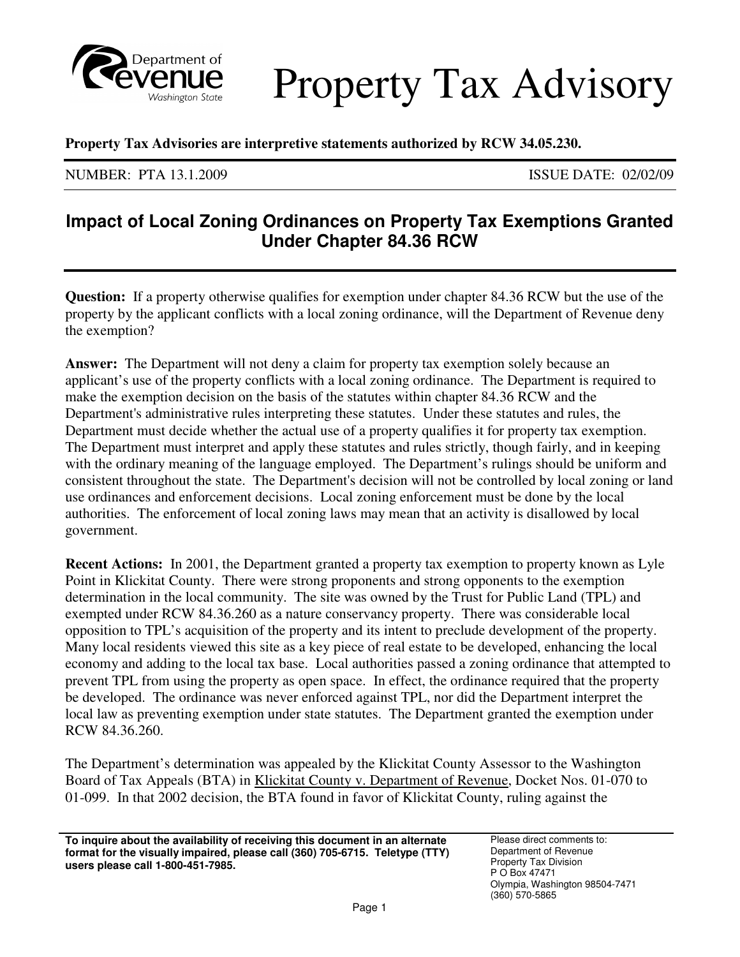

Property Tax Advisory

 **Property Tax Advisories are interpretive statements authorized by RCW 34.05.230.** 

NUMBER: PTA 13.1.2009 ISSUE DATE: 02/02/09

## **Impact of Local Zoning Ordinances on Property Tax Exemptions Granted Under Chapter 84.36 RCW**

 **Question:** If a property otherwise qualifies for exemption under chapter 84.36 RCW but the use of the property by the applicant conflicts with a local zoning ordinance, will the Department of Revenue deny the exemption?

 **Answer:** The Department will not deny a claim for property tax exemption solely because an applicant's use of the property conflicts with a local zoning ordinance. The Department is required to make the exemption decision on the basis of the statutes within chapter 84.36 RCW and the Department's administrative rules interpreting these statutes. Under these statutes and rules, the Department must decide whether the actual use of a property qualifies it for property tax exemption. The Department must interpret and apply these statutes and rules strictly, though fairly, and in keeping with the ordinary meaning of the language employed. The Department's rulings should be uniform and consistent throughout the state. The Department's decision will not be controlled by local zoning or land use ordinances and enforcement decisions. Local zoning enforcement must be done by the local authorities. The enforcement of local zoning laws may mean that an activity is disallowed by local government.

 **Recent Actions:** In 2001, the Department granted a property tax exemption to property known as Lyle Point in Klickitat County. There were strong proponents and strong opponents to the exemption determination in the local community. The site was owned by the Trust for Public Land (TPL) and exempted under RCW 84.36.260 as a nature conservancy property. There was considerable local opposition to TPL's acquisition of the property and its intent to preclude development of the property. Many local residents viewed this site as a key piece of real estate to be developed, enhancing the local economy and adding to the local tax base. Local authorities passed a zoning ordinance that attempted to prevent TPL from using the property as open space. In effect, the ordinance required that the property be developed. The ordinance was never enforced against TPL, nor did the Department interpret the local law as preventing exemption under state statutes. The Department granted the exemption under RCW 84.36.260.

 The Department's determination was appealed by the Klickitat County Assessor to the Washington Board of Tax Appeals (BTA) in **Klickitat County v. Department of Revenue**, Docket Nos. 01-070 to 01-099. In that 2002 decision, the BTA found in favor of Klickitat County, ruling against the

**To inquire about the availability of receiving this document in an alternate** Please direct comments to:  **format for the visually impaired, please call (360) 705-6715. Teletype (TTY)** Department of Revenue **users please call 1-800-451-7985. Property Tax Division** *S* **Construction** *Property Tax Division**P* **O Box 47471**